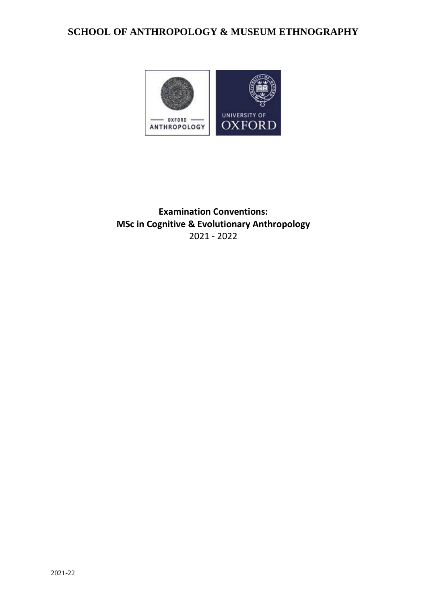# **SCHOOL OF ANTHROPOLOGY & MUSEUM ETHNOGRAPHY**



**Examination Conventions: MSc in Cognitive & Evolutionary Anthropology** 2021 - 2022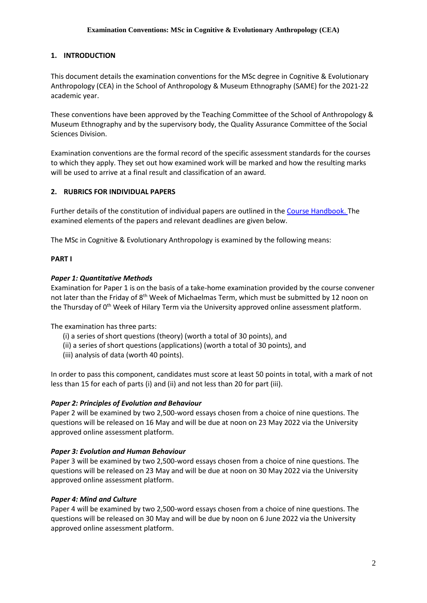## **1. INTRODUCTION**

This document details the examination conventions for the MSc degree in Cognitive & Evolutionary Anthropology (CEA) in the School of Anthropology & Museum Ethnography (SAME) for the 2021-22 academic year.

These conventions have been approved by the Teaching Committee of the School of Anthropology & Museum Ethnography and by the supervisory body, the Quality Assurance Committee of the Social Sciences Division.

Examination conventions are the formal record of the specific assessment standards for the courses to which they apply. They set out how examined work will be marked and how the resulting marks will be used to arrive at a final result and classification of an award.

## **2. RUBRICS FOR INDIVIDUAL PAPERS**

Further details of the constitution of individual papers are outlined in the [Course Handbook.](https://www.anthro.ox.ac.uk/course-handbooks) The examined elements of the papers and relevant deadlines are given below.

The MSc in Cognitive & Evolutionary Anthropology is examined by the following means:

## **PART I**

#### *Paper 1: Quantitative Methods*

Examination for Paper 1 is on the basis of a take-home examination provided by the course convener not later than the Friday of  $8<sup>th</sup>$  Week of Michaelmas Term, which must be submitted by 12 noon on the Thursday of 0<sup>th</sup> Week of Hilary Term via the University approved online assessment platform.

The examination has three parts:

- (i) a series of short questions (theory) (worth a total of 30 points), and
- (ii) a series of short questions (applications) (worth a total of 30 points), and
- (iii) analysis of data (worth 40 points).

In order to pass this component, candidates must score at least 50 points in total, with a mark of not less than 15 for each of parts (i) and (ii) and not less than 20 for part (iii).

## *Paper 2: Principles of Evolution and Behaviour*

Paper 2 will be examined by two 2,500-word essays chosen from a choice of nine questions. The questions will be released on 16 May and will be due at noon on 23 May 2022 via the University approved online assessment platform.

#### *Paper 3: Evolution and Human Behaviour*

Paper 3 will be examined by two 2,500-word essays chosen from a choice of nine questions. The questions will be released on 23 May and will be due at noon on 30 May 2022 via the University approved online assessment platform.

#### *Paper 4: Mind and Culture*

Paper 4 will be examined by two 2,500-word essays chosen from a choice of nine questions. The questions will be released on 30 May and will be due by noon on 6 June 2022 via the University approved online assessment platform.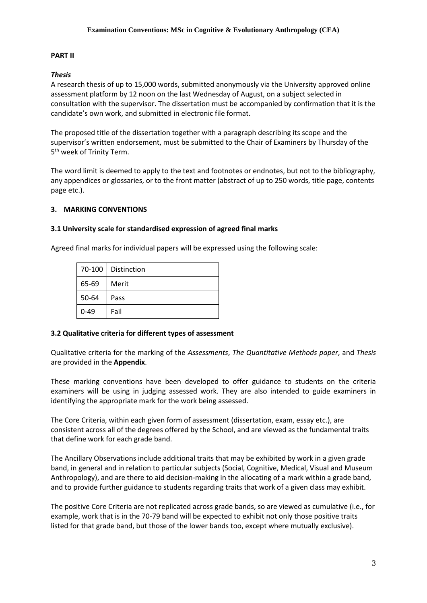#### **PART II**

#### *Thesis*

A research thesis of up to 15,000 words, submitted anonymously via the University approved online assessment platform by 12 noon on the last Wednesday of August, on a subject selected in consultation with the supervisor. The dissertation must be accompanied by confirmation that it is the candidate's own work, and submitted in electronic file format.

The proposed title of the dissertation together with a paragraph describing its scope and the supervisor's written endorsement, must be submitted to the Chair of Examiners by Thursday of the 5 th week of Trinity Term.

The word limit is deemed to apply to the text and footnotes or endnotes, but not to the bibliography, any appendices or glossaries, or to the front matter (abstract of up to 250 words, title page, contents page etc.).

#### **3. MARKING CONVENTIONS**

#### **3.1 University scale for standardised expression of agreed final marks**

Agreed final marks for individual papers will be expressed using the following scale:

|          | 70-100   Distinction |
|----------|----------------------|
| 65-69    | Merit                |
| 50-64    | Pass                 |
| $0 - 49$ | Fail                 |

#### **3.2 Qualitative criteria for different types of assessment**

Qualitative criteria for the marking of the *Assessments*, *The Quantitative Methods paper*, and *Thesis* are provided in the **Appendix**.

These marking conventions have been developed to offer guidance to students on the criteria examiners will be using in judging assessed work. They are also intended to guide examiners in identifying the appropriate mark for the work being assessed.

The Core Criteria, within each given form of assessment (dissertation, exam, essay etc.), are consistent across all of the degrees offered by the School, and are viewed as the fundamental traits that define work for each grade band.

The Ancillary Observations include additional traits that may be exhibited by work in a given grade band, in general and in relation to particular subjects (Social, Cognitive, Medical, Visual and Museum Anthropology), and are there to aid decision-making in the allocating of a mark within a grade band, and to provide further guidance to students regarding traits that work of a given class may exhibit.

The positive Core Criteria are not replicated across grade bands, so are viewed as cumulative (i.e., for example, work that is in the 70-79 band will be expected to exhibit not only those positive traits listed for that grade band, but those of the lower bands too, except where mutually exclusive).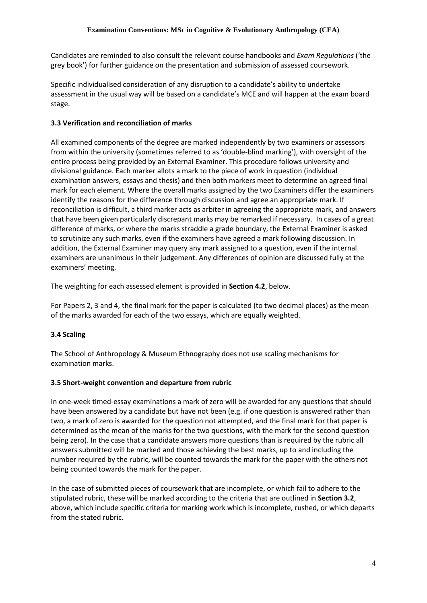Candidates are reminded to also consult the relevant course handbooks and *Exam Regulations* ('the grey book') for further guidance on the presentation and submission of assessed coursework.

Specific individualised consideration of any disruption to a candidate's ability to undertake assessment in the usual way will be based on a candidate's MCE and will happen at the exam board stage.

## **3.3 Verification and reconciliation of marks**

All examined components of the degree are marked independently by two examiners or assessors from within the university (sometimes referred to as 'double-blind marking'), with oversight of the entire process being provided by an External Examiner. This procedure follows university and divisional guidance. Each marker allots a mark to the piece of work in question (individual examination answers, essays and thesis) and then both markers meet to determine an agreed final mark for each element. Where the overall marks assigned by the two Examiners differ the examiners identify the reasons for the difference through discussion and agree an appropriate mark. If reconciliation is difficult, a third marker acts as arbiter in agreeing the appropriate mark, and answers that have been given particularly discrepant marks may be remarked if necessary. In cases of a great difference of marks, or where the marks straddle a grade boundary, the External Examiner is asked to scrutinize any such marks, even if the examiners have agreed a mark following discussion. In addition, the External Examiner may query any mark assigned to a question, even if the internal examiners are unanimous in their judgement. Any differences of opinion are discussed fully at the examiners' meeting.

The weighting for each assessed element is provided in **Section 4.2**, below.

For Papers 2, 3 and 4, the final mark for the paper is calculated (to two decimal places) as the mean of the marks awarded for each of the two essays, which are equally weighted.

## **3.4 Scaling**

The School of Anthropology & Museum Ethnography does not use scaling mechanisms for examination marks.

## **3.5 Short-weight convention and departure from rubric**

In one-week timed-essay examinations a mark of zero will be awarded for any questions that should have been answered by a candidate but have not been (e.g. if one question is answered rather than two, a mark of zero is awarded for the question not attempted, and the final mark for that paper is determined as the mean of the marks for the two questions, with the mark for the second question being zero). In the case that a candidate answers more questions than is required by the rubric all answers submitted will be marked and those achieving the best marks, up to and including the number required by the rubric, will be counted towards the mark for the paper with the others not being counted towards the mark for the paper.

In the case of submitted pieces of coursework that are incomplete, or which fail to adhere to the stipulated rubric, these will be marked according to the criteria that are outlined in **Section 3.2**, above, which include specific criteria for marking work which is incomplete, rushed, or which departs from the stated rubric.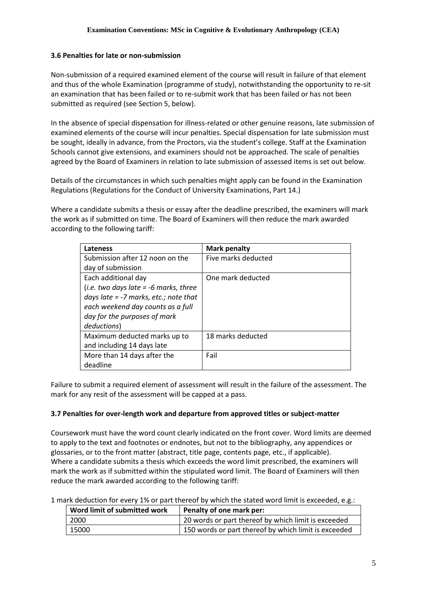#### **3.6 Penalties for late or non-submission**

Non-submission of a required examined element of the course will result in failure of that element and thus of the whole Examination (programme of study), notwithstanding the opportunity to re-sit an examination that has been failed or to re-submit work that has been failed or has not been submitted as required (see Section 5, below).

In the absence of special dispensation for illness-related or other genuine reasons, late submission of examined elements of the course will incur penalties. Special dispensation for late submission must be sought, ideally in advance, from the Proctors, via the student's college. Staff at the Examination Schools cannot give extensions, and examiners should not be approached. The scale of penalties agreed by the Board of Examiners in relation to late submission of assessed items is set out below.

Details of the circumstances in which such penalties might apply can be found in the Examination Regulations (Regulations for the Conduct of University Examinations, Part 14.)

Where a candidate submits a thesis or essay after the deadline prescribed, the examiners will mark the work as if submitted on time. The Board of Examiners will then reduce the mark awarded according to the following tariff:

| Lateness                                | <b>Mark penalty</b> |
|-----------------------------------------|---------------------|
| Submission after 12 noon on the         | Five marks deducted |
| day of submission                       |                     |
| Each additional day                     | One mark deducted   |
| (i.e. two days late $=$ -6 marks, three |                     |
| days late $= -7$ marks, etc.; note that |                     |
| each weekend day counts as a full       |                     |
| day for the purposes of mark            |                     |
| deductions)                             |                     |
| Maximum deducted marks up to            | 18 marks deducted   |
| and including 14 days late              |                     |
| More than 14 days after the             | Fail                |
| deadline                                |                     |

Failure to submit a required element of assessment will result in the failure of the assessment. The mark for any resit of the assessment will be capped at a pass.

## **3.7 Penalties for over-length work and departure from approved titles or subject-matter**

Coursework must have the word count clearly indicated on the front cover. Word limits are deemed to apply to the text and footnotes or endnotes, but not to the bibliography, any appendices or glossaries, or to the front matter (abstract, title page, contents page, etc., if applicable). Where a candidate submits a thesis which exceeds the word limit prescribed, the examiners will mark the work as if submitted within the stipulated word limit. The Board of Examiners will then reduce the mark awarded according to the following tariff:

1 mark deduction for every 1% or part thereof by which the stated word limit is exceeded, e.g.:

| Word limit of submitted work | Penalty of one mark per:                             |
|------------------------------|------------------------------------------------------|
| 2000                         | 20 words or part thereof by which limit is exceeded  |
| 15000                        | 150 words or part thereof by which limit is exceeded |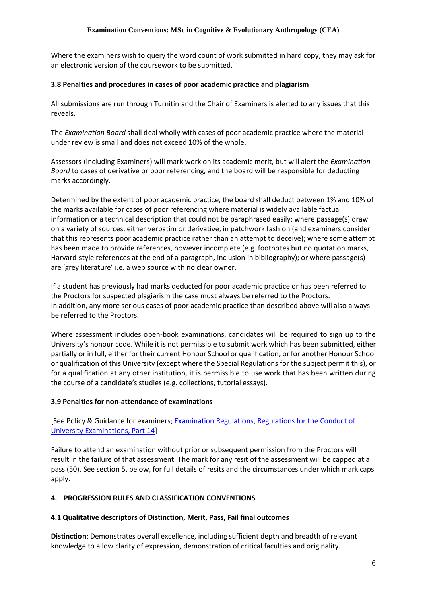Where the examiners wish to query the word count of work submitted in hard copy, they may ask for an electronic version of the coursework to be submitted.

#### **3.8 Penalties and procedures in cases of poor academic practice and plagiarism**

All submissions are run through Turnitin and the Chair of Examiners is alerted to any issues that this reveals.

The *Examination Board* shall deal wholly with cases of poor academic practice where the material under review is small and does not exceed 10% of the whole.

Assessors (including Examiners) will mark work on its academic merit, but will alert the *Examination Board* to cases of derivative or poor referencing, and the board will be responsible for deducting marks accordingly.

Determined by the extent of poor academic practice, the board shall deduct between 1% and 10% of the marks available for cases of poor referencing where material is widely available factual information or a technical description that could not be paraphrased easily; where passage(s) draw on a variety of sources, either verbatim or derivative, in patchwork fashion (and examiners consider that this represents poor academic practice rather than an attempt to deceive); where some attempt has been made to provide references, however incomplete (e.g. footnotes but no quotation marks, Harvard-style references at the end of a paragraph, inclusion in bibliography); or where passage(s) are 'grey literature' i.e. a web source with no clear owner.

If a student has previously had marks deducted for poor academic practice or has been referred to the Proctors for suspected plagiarism the case must always be referred to the Proctors. In addition, any more serious cases of poor academic practice than described above will also always be referred to the Proctors.

Where assessment includes open-book examinations, candidates will be required to sign up to the University's honour code. While it is not permissible to submit work which has been submitted, either partially or in full, either for their current Honour School or qualification, or for another Honour School or qualification of this University (except where the Special Regulations for the subject permit this), or for a qualification at any other institution, it is permissible to use work that has been written during the course of a candidate's studies (e.g. collections, tutorial essays).

## **3.9 Penalties for non-attendance of examinations**

## [See Policy & Guidance for examiners; [Examination Regulations, Regulations for the Conduct of](http://www.admin.ox.ac.uk/examregs/2015-16/rftcoue-p14ls-n-snawfromexam/)  [University Examinations, Part 14\]](http://www.admin.ox.ac.uk/examregs/2015-16/rftcoue-p14ls-n-snawfromexam/)

Failure to attend an examination without prior or subsequent permission from the Proctors will result in the failure of that assessment. The mark for any resit of the assessment will be capped at a pass (50). See section 5, below, for full details of resits and the circumstances under which mark caps apply.

## **4. PROGRESSION RULES AND CLASSIFICATION CONVENTIONS**

#### **4.1 Qualitative descriptors of Distinction, Merit, Pass, Fail final outcomes**

**Distinction**: Demonstrates overall excellence, including sufficient depth and breadth of relevant knowledge to allow clarity of expression, demonstration of critical faculties and originality.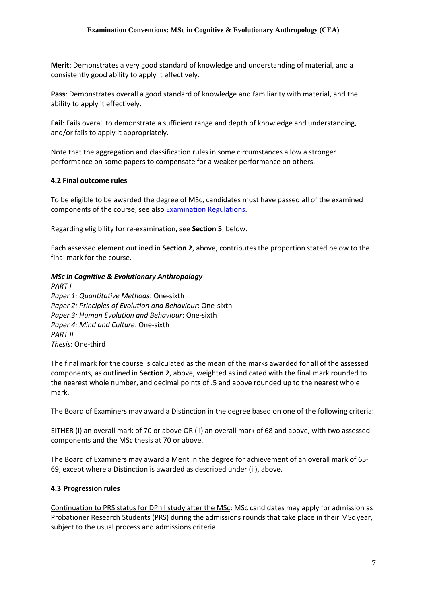**Merit**: Demonstrates a very good standard of knowledge and understanding of material, and a consistently good ability to apply it effectively.

**Pass**: Demonstrates overall a good standard of knowledge and familiarity with material, and the ability to apply it effectively.

**Fail**: Fails overall to demonstrate a sufficient range and depth of knowledge and understanding, and/or fails to apply it appropriately.

Note that the aggregation and classification rules in some circumstances allow a stronger performance on some papers to compensate for a weaker performance on others.

#### **4.2 Final outcome rules**

To be eligible to be awarded the degree of MSc, candidates must have passed all of the examined components of the course; see als[o Examination Regulations.](https://examregs.admin.ox.ac.uk/Regulation?code=mosbcicandevolanth&srchYear=2020&srchTerm=1&year=2019&term=1)

Regarding eligibility for re-examination, see **Section 5**, below.

Each assessed element outlined in **Section 2**, above, contributes the proportion stated below to the final mark for the course.

#### *MSc in Cognitive & Evolutionary Anthropology*

*PART I Paper 1: Quantitative Methods*: One-sixth *Paper 2: Principles of Evolution and Behaviour*: One-sixth *Paper 3: Human Evolution and Behaviour*: One-sixth *Paper 4: Mind and Culture*: One-sixth *PART II Thesis*: One-third

The final mark for the course is calculated as the mean of the marks awarded for all of the assessed components, as outlined in **Section 2**, above, weighted as indicated with the final mark rounded to the nearest whole number, and decimal points of .5 and above rounded up to the nearest whole mark.

The Board of Examiners may award a Distinction in the degree based on one of the following criteria:

EITHER (i) an overall mark of 70 or above OR (ii) an overall mark of 68 and above, with two assessed components and the MSc thesis at 70 or above.

The Board of Examiners may award a Merit in the degree for achievement of an overall mark of 65- 69, except where a Distinction is awarded as described under (ii), above.

## **4.3 Progression rules**

Continuation to PRS status for DPhil study after the MSc: MSc candidates may apply for admission as Probationer Research Students (PRS) during the admissions rounds that take place in their MSc year, subject to the usual process and admissions criteria.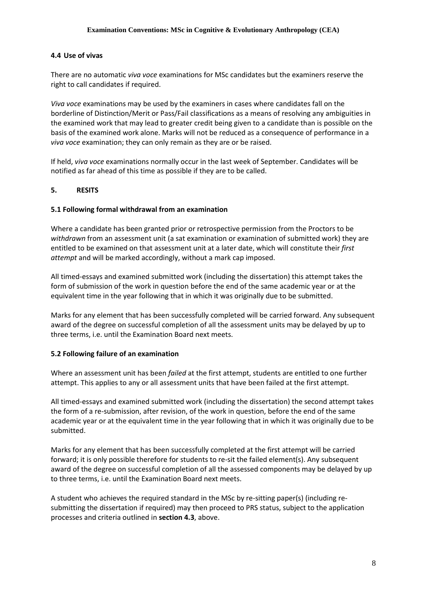#### **4.4 Use of vivas**

There are no automatic *viva voce* examinations for MSc candidates but the examiners reserve the right to call candidates if required.

*Viva voce* examinations may be used by the examiners in cases where candidates fall on the borderline of Distinction/Merit or Pass/Fail classifications as a means of resolving any ambiguities in the examined work that may lead to greater credit being given to a candidate than is possible on the basis of the examined work alone. Marks will not be reduced as a consequence of performance in a *viva voce* examination; they can only remain as they are or be raised.

If held, *viva voce* examinations normally occur in the last week of September. Candidates will be notified as far ahead of this time as possible if they are to be called.

#### **5. RESITS**

#### **5.1 Following formal withdrawal from an examination**

Where a candidate has been granted prior or retrospective permission from the Proctors to be *withdrawn* from an assessment unit (a sat examination or examination of submitted work) they are entitled to be examined on that assessment unit at a later date, which will constitute their *first attempt* and will be marked accordingly, without a mark cap imposed.

All timed-essays and examined submitted work (including the dissertation) this attempt takes the form of submission of the work in question before the end of the same academic year or at the equivalent time in the year following that in which it was originally due to be submitted.

Marks for any element that has been successfully completed will be carried forward. Any subsequent award of the degree on successful completion of all the assessment units may be delayed by up to three terms, i.e. until the Examination Board next meets.

#### **5.2 Following failure of an examination**

Where an assessment unit has been *failed* at the first attempt, students are entitled to one further attempt. This applies to any or all assessment units that have been failed at the first attempt.

All timed-essays and examined submitted work (including the dissertation) the second attempt takes the form of a re-submission, after revision, of the work in question, before the end of the same academic year or at the equivalent time in the year following that in which it was originally due to be submitted.

Marks for any element that has been successfully completed at the first attempt will be carried forward; it is only possible therefore for students to re-sit the failed element(s). Any subsequent award of the degree on successful completion of all the assessed components may be delayed by up to three terms, i.e. until the Examination Board next meets.

A student who achieves the required standard in the MSc by re-sitting paper(s) (including resubmitting the dissertation if required) may then proceed to PRS status, subject to the application processes and criteria outlined in **section 4.3**, above.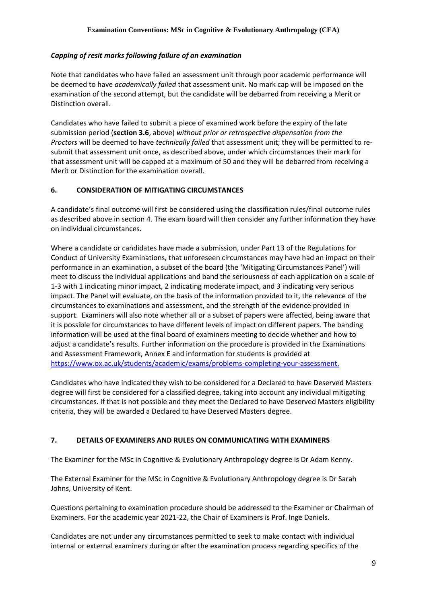## *Capping of resit marks following failure of an examination*

Note that candidates who have failed an assessment unit through poor academic performance will be deemed to have *academically failed* that assessment unit. No mark cap will be imposed on the examination of the second attempt, but the candidate will be debarred from receiving a Merit or Distinction overall.

Candidates who have failed to submit a piece of examined work before the expiry of the late submission period (**section 3.6**, above) *without prior or retrospective dispensation from the Proctors* will be deemed to have *technically failed* that assessment unit; they will be permitted to resubmit that assessment unit once, as described above, under which circumstances their mark for that assessment unit will be capped at a maximum of 50 and they will be debarred from receiving a Merit or Distinction for the examination overall.

## **6. CONSIDERATION OF MITIGATING CIRCUMSTANCES**

A candidate's final outcome will first be considered using the classification rules/final outcome rules as described above in section 4. The exam board will then consider any further information they have on individual circumstances.

Where a candidate or candidates have made a submission, under Part 13 of the Regulations for Conduct of University Examinations, that unforeseen circumstances may have had an impact on their performance in an examination, a subset of the board (the 'Mitigating Circumstances Panel') will meet to discuss the individual applications and band the seriousness of each application on a scale of 1-3 with 1 indicating minor impact, 2 indicating moderate impact, and 3 indicating very serious impact. The Panel will evaluate, on the basis of the information provided to it, the relevance of the circumstances to examinations and assessment, and the strength of the evidence provided in support. Examiners will also note whether all or a subset of papers were affected, being aware that it is possible for circumstances to have different levels of impact on different papers. The banding information will be used at the final board of examiners meeting to decide whether and how to adjust a candidate's results. Further information on the procedure is provided in the Examinations and Assessment Framework, Annex E and information for students is provided at [https://www.ox.ac.uk/students/academic/exams/problems-completing-your-assessment.](https://www.ox.ac.uk/students/academic/exams/problems-completing-your-assessment)

Candidates who have indicated they wish to be considered for a Declared to have Deserved Masters degree will first be considered for a classified degree, taking into account any individual mitigating circumstances. If that is not possible and they meet the Declared to have Deserved Masters eligibility criteria, they will be awarded a Declared to have Deserved Masters degree.

## **7. DETAILS OF EXAMINERS AND RULES ON COMMUNICATING WITH EXAMINERS**

The Examiner for the MSc in Cognitive & Evolutionary Anthropology degree is Dr Adam Kenny.

The External Examiner for the MSc in Cognitive & Evolutionary Anthropology degree is Dr Sarah Johns, University of Kent.

Questions pertaining to examination procedure should be addressed to the Examiner or Chairman of Examiners. For the academic year 2021-22, the Chair of Examiners is Prof. Inge Daniels.

Candidates are not under any circumstances permitted to seek to make contact with individual internal or external examiners during or after the examination process regarding specifics of the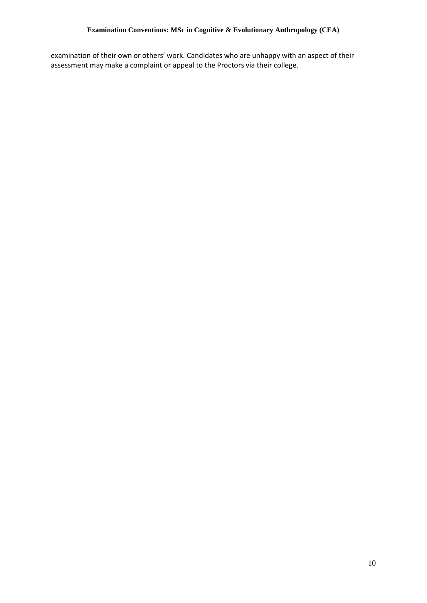examination of their own or others' work. Candidates who are unhappy with an aspect of their assessment may make a complaint or appeal to the Proctors via their college.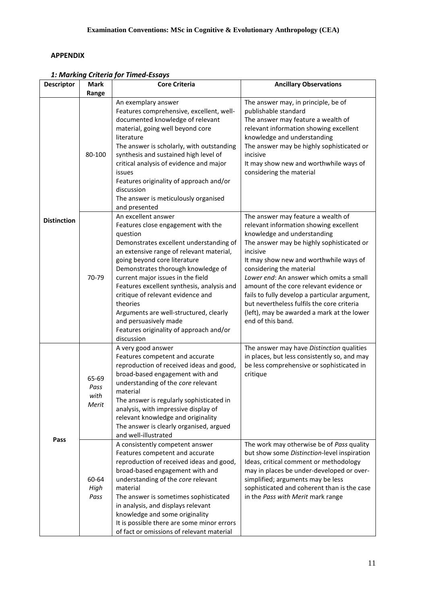## **APPENDIX**

| <b>Descriptor</b>  | <b>Mark</b>                    | <b>Core Criteria</b>                                                                                                                                                                                                                                                                                                                                                                                                                                                                               | <b>Ancillary Observations</b>                                                                                                                                                                                                                                                                                                                                                                                                                                                                       |
|--------------------|--------------------------------|----------------------------------------------------------------------------------------------------------------------------------------------------------------------------------------------------------------------------------------------------------------------------------------------------------------------------------------------------------------------------------------------------------------------------------------------------------------------------------------------------|-----------------------------------------------------------------------------------------------------------------------------------------------------------------------------------------------------------------------------------------------------------------------------------------------------------------------------------------------------------------------------------------------------------------------------------------------------------------------------------------------------|
|                    |                                |                                                                                                                                                                                                                                                                                                                                                                                                                                                                                                    |                                                                                                                                                                                                                                                                                                                                                                                                                                                                                                     |
|                    | Range                          |                                                                                                                                                                                                                                                                                                                                                                                                                                                                                                    |                                                                                                                                                                                                                                                                                                                                                                                                                                                                                                     |
|                    | 80-100                         | An exemplary answer<br>Features comprehensive, excellent, well-<br>documented knowledge of relevant<br>material, going well beyond core<br>literature<br>The answer is scholarly, with outstanding<br>synthesis and sustained high level of<br>critical analysis of evidence and major<br>issues<br>Features originality of approach and/or<br>discussion<br>The answer is meticulously organised<br>and presented                                                                                 | The answer may, in principle, be of<br>publishable standard<br>The answer may feature a wealth of<br>relevant information showing excellent<br>knowledge and understanding<br>The answer may be highly sophisticated or<br>incisive<br>It may show new and worthwhile ways of<br>considering the material                                                                                                                                                                                           |
| <b>Distinction</b> | 70-79                          | An excellent answer<br>Features close engagement with the<br>question<br>Demonstrates excellent understanding of<br>an extensive range of relevant material,<br>going beyond core literature<br>Demonstrates thorough knowledge of<br>current major issues in the field<br>Features excellent synthesis, analysis and<br>critique of relevant evidence and<br>theories<br>Arguments are well-structured, clearly<br>and persuasively made<br>Features originality of approach and/or<br>discussion | The answer may feature a wealth of<br>relevant information showing excellent<br>knowledge and understanding<br>The answer may be highly sophisticated or<br>incisive<br>It may show new and worthwhile ways of<br>considering the material<br>Lower end: An answer which omits a small<br>amount of the core relevant evidence or<br>fails to fully develop a particular argument,<br>but nevertheless fulfils the core criteria<br>(left), may be awarded a mark at the lower<br>end of this band. |
| Pass               | 65-69<br>Pass<br>with<br>Merit | A very good answer<br>Features competent and accurate<br>reproduction of received ideas and good,<br>broad-based engagement with and<br>understanding of the core relevant<br>material<br>The answer is regularly sophisticated in<br>analysis, with impressive display of<br>relevant knowledge and originality<br>The answer is clearly organised, argued<br>and well-illustrated                                                                                                                | The answer may have Distinction qualities<br>in places, but less consistently so, and may<br>be less comprehensive or sophisticated in<br>critique                                                                                                                                                                                                                                                                                                                                                  |
|                    | 60-64<br>High<br>Pass          | A consistently competent answer<br>Features competent and accurate<br>reproduction of received ideas and good,<br>broad-based engagement with and<br>understanding of the core relevant<br>material<br>The answer is sometimes sophisticated<br>in analysis, and displays relevant<br>knowledge and some originality<br>It is possible there are some minor errors<br>of fact or omissions of relevant material                                                                                    | The work may otherwise be of Pass quality<br>but show some Distinction-level inspiration<br>Ideas, critical comment or methodology<br>may in places be under-developed or over-<br>simplified; arguments may be less<br>sophisticated and coherent than is the case<br>in the Pass with Merit mark range                                                                                                                                                                                            |

*1: Marking Criteria for Timed-Essays*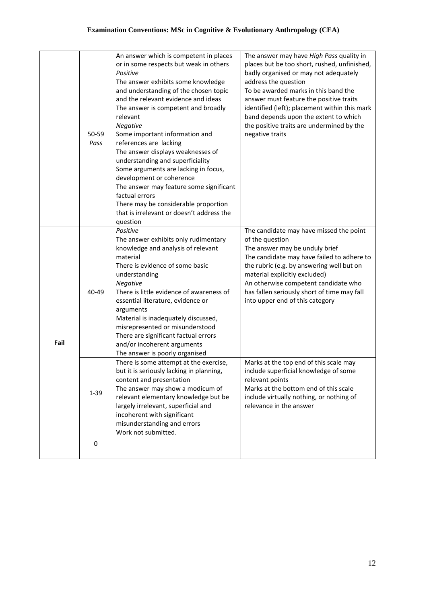|      | 50-59<br>Pass | An answer which is competent in places<br>or in some respects but weak in others<br>Positive<br>The answer exhibits some knowledge<br>and understanding of the chosen topic<br>and the relevant evidence and ideas<br>The answer is competent and broadly<br>relevant<br><b>Negative</b><br>Some important information and<br>references are lacking<br>The answer displays weaknesses of<br>understanding and superficiality<br>Some arguments are lacking in focus,<br>development or coherence<br>The answer may feature some significant<br>factual errors<br>There may be considerable proportion<br>that is irrelevant or doesn't address the<br>question | The answer may have High Pass quality in<br>places but be too short, rushed, unfinished,<br>badly organised or may not adequately<br>address the question<br>To be awarded marks in this band the<br>answer must feature the positive traits<br>identified (left); placement within this mark<br>band depends upon the extent to which<br>the positive traits are undermined by the<br>negative traits |
|------|---------------|-----------------------------------------------------------------------------------------------------------------------------------------------------------------------------------------------------------------------------------------------------------------------------------------------------------------------------------------------------------------------------------------------------------------------------------------------------------------------------------------------------------------------------------------------------------------------------------------------------------------------------------------------------------------|--------------------------------------------------------------------------------------------------------------------------------------------------------------------------------------------------------------------------------------------------------------------------------------------------------------------------------------------------------------------------------------------------------|
| Fail | 40-49         | Positive<br>The answer exhibits only rudimentary<br>knowledge and analysis of relevant<br>material<br>There is evidence of some basic<br>understanding<br>Negative<br>There is little evidence of awareness of<br>essential literature, evidence or<br>arguments<br>Material is inadequately discussed,<br>misrepresented or misunderstood<br>There are significant factual errors<br>and/or incoherent arguments<br>The answer is poorly organised                                                                                                                                                                                                             | The candidate may have missed the point<br>of the question<br>The answer may be unduly brief<br>The candidate may have failed to adhere to<br>the rubric (e.g. by answering well but on<br>material explicitly excluded)<br>An otherwise competent candidate who<br>has fallen seriously short of time may fall<br>into upper end of this category                                                     |
|      | $1 - 39$      | There is some attempt at the exercise,<br>but it is seriously lacking in planning,<br>content and presentation<br>The answer may show a modicum of<br>relevant elementary knowledge but be<br>largely irrelevant, superficial and<br>incoherent with significant<br>misunderstanding and errors                                                                                                                                                                                                                                                                                                                                                                 | Marks at the top end of this scale may<br>include superficial knowledge of some<br>relevant points<br>Marks at the bottom end of this scale<br>include virtually nothing, or nothing of<br>relevance in the answer                                                                                                                                                                                     |
|      | 0             | Work not submitted.                                                                                                                                                                                                                                                                                                                                                                                                                                                                                                                                                                                                                                             |                                                                                                                                                                                                                                                                                                                                                                                                        |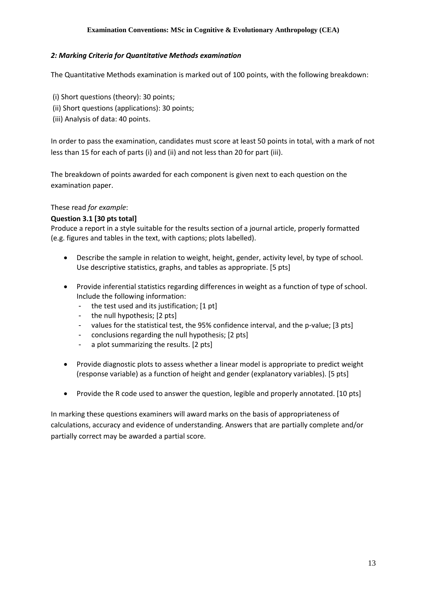#### *2: Marking Criteria for Quantitative Methods examination*

The Quantitative Methods examination is marked out of 100 points, with the following breakdown:

- (i) Short questions (theory): 30 points;
- (ii) Short questions (applications): 30 points;
- (iii) Analysis of data: 40 points.

In order to pass the examination, candidates must score at least 50 points in total, with a mark of not less than 15 for each of parts (i) and (ii) and not less than 20 for part (iii).

The breakdown of points awarded for each component is given next to each question on the examination paper.

#### These read *for example*:

## **Question 3.1 [30 pts total]**

Produce a report in a style suitable for the results section of a journal article, properly formatted (e.g. figures and tables in the text, with captions; plots labelled).

- Describe the sample in relation to weight, height, gender, activity level, by type of school. Use descriptive statistics, graphs, and tables as appropriate. [5 pts]
- Provide inferential statistics regarding differences in weight as a function of type of school. Include the following information:
	- the test used and its justification; [1 pt]
	- the null hypothesis; [2 pts]
	- values for the statistical test, the 95% confidence interval, and the p-value; [3 pts]
	- conclusions regarding the null hypothesis; [2 pts]
	- a plot summarizing the results. [2 pts]
- Provide diagnostic plots to assess whether a linear model is appropriate to predict weight (response variable) as a function of height and gender (explanatory variables). [5 pts]
- Provide the R code used to answer the question, legible and properly annotated. [10 pts]

In marking these questions examiners will award marks on the basis of appropriateness of calculations, accuracy and evidence of understanding. Answers that are partially complete and/or partially correct may be awarded a partial score.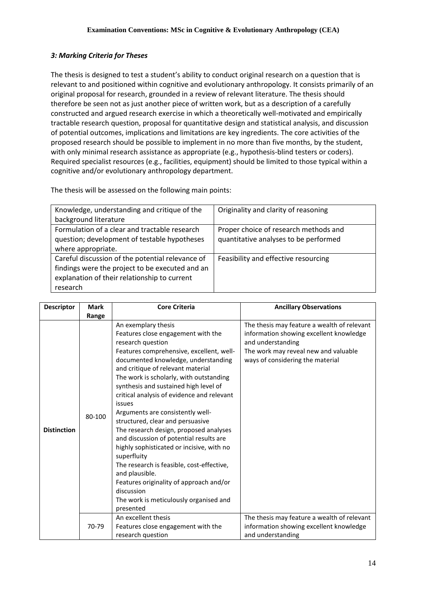## *3: Marking Criteria for Theses*

The thesis is designed to test a student's ability to conduct original research on a question that is relevant to and positioned within cognitive and evolutionary anthropology. It consists primarily of an original proposal for research, grounded in a review of relevant literature. The thesis should therefore be seen not as just another piece of written work, but as a description of a carefully constructed and argued research exercise in which a theoretically well-motivated and empirically tractable research question, proposal for quantitative design and statistical analysis, and discussion of potential outcomes, implications and limitations are key ingredients. The core activities of the proposed research should be possible to implement in no more than five months, by the student, with only minimal research assistance as appropriate (e.g., hypothesis-blind testers or coders). Required specialist resources (e.g., facilities, equipment) should be limited to those typical within a cognitive and/or evolutionary anthropology department.

The thesis will be assessed on the following main points:

| Knowledge, understanding and critique of the     | Originality and clarity of reasoning  |
|--------------------------------------------------|---------------------------------------|
| background literature                            |                                       |
| Formulation of a clear and tractable research    | Proper choice of research methods and |
| question; development of testable hypotheses     | quantitative analyses to be performed |
| where appropriate.                               |                                       |
| Careful discussion of the potential relevance of | Feasibility and effective resourcing  |
| findings were the project to be executed and an  |                                       |
| explanation of their relationship to current     |                                       |
| research                                         |                                       |

| <b>Descriptor</b>  | <b>Mark</b> | <b>Core Criteria</b>                                                                                                                                                                                                                                                                                                                                                                                                                                                                                                                                                                                                                                                                                                                                       | <b>Ancillary Observations</b>                                                                                                                                                           |
|--------------------|-------------|------------------------------------------------------------------------------------------------------------------------------------------------------------------------------------------------------------------------------------------------------------------------------------------------------------------------------------------------------------------------------------------------------------------------------------------------------------------------------------------------------------------------------------------------------------------------------------------------------------------------------------------------------------------------------------------------------------------------------------------------------------|-----------------------------------------------------------------------------------------------------------------------------------------------------------------------------------------|
|                    | Range       |                                                                                                                                                                                                                                                                                                                                                                                                                                                                                                                                                                                                                                                                                                                                                            |                                                                                                                                                                                         |
| <b>Distinction</b> | 80-100      | An exemplary thesis<br>Features close engagement with the<br>research question<br>Features comprehensive, excellent, well-<br>documented knowledge, understanding<br>and critique of relevant material<br>The work is scholarly, with outstanding<br>synthesis and sustained high level of<br>critical analysis of evidence and relevant<br>issues<br>Arguments are consistently well-<br>structured, clear and persuasive<br>The research design, proposed analyses<br>and discussion of potential results are<br>highly sophisticated or incisive, with no<br>superfluity<br>The research is feasible, cost-effective,<br>and plausible.<br>Features originality of approach and/or<br>discussion<br>The work is meticulously organised and<br>presented | The thesis may feature a wealth of relevant<br>information showing excellent knowledge<br>and understanding<br>The work may reveal new and valuable<br>ways of considering the material |
|                    | 70-79       | An excellent thesis<br>Features close engagement with the<br>research question                                                                                                                                                                                                                                                                                                                                                                                                                                                                                                                                                                                                                                                                             | The thesis may feature a wealth of relevant<br>information showing excellent knowledge<br>and understanding                                                                             |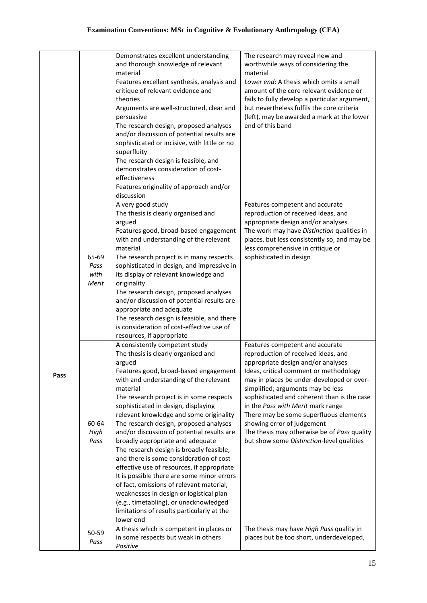|      |                                | Demonstrates excellent understanding<br>and thorough knowledge of relevant<br>material<br>Features excellent synthesis, analysis and<br>critique of relevant evidence and<br>theories<br>Arguments are well-structured, clear and<br>persuasive<br>The research design, proposed analyses<br>and/or discussion of potential results are<br>sophisticated or incisive, with little or no<br>superfluity<br>The research design is feasible, and<br>demonstrates consideration of cost-<br>effectiveness<br>Features originality of approach and/or<br>discussion                                                                                                                                                                                                                                                          | The research may reveal new and<br>worthwhile ways of considering the<br>material<br>Lower end: A thesis which omits a small<br>amount of the core relevant evidence or<br>fails to fully develop a particular argument,<br>but nevertheless fulfils the core criteria<br>(left), may be awarded a mark at the lower<br>end of this band                                                                                                                                                         |
|------|--------------------------------|--------------------------------------------------------------------------------------------------------------------------------------------------------------------------------------------------------------------------------------------------------------------------------------------------------------------------------------------------------------------------------------------------------------------------------------------------------------------------------------------------------------------------------------------------------------------------------------------------------------------------------------------------------------------------------------------------------------------------------------------------------------------------------------------------------------------------|--------------------------------------------------------------------------------------------------------------------------------------------------------------------------------------------------------------------------------------------------------------------------------------------------------------------------------------------------------------------------------------------------------------------------------------------------------------------------------------------------|
|      | 65-69<br>Pass<br>with<br>Merit | A very good study<br>The thesis is clearly organised and<br>argued<br>Features good, broad-based engagement<br>with and understanding of the relevant<br>material<br>The research project is in many respects<br>sophisticated in design, and impressive in<br>its display of relevant knowledge and<br>originality<br>The research design, proposed analyses<br>and/or discussion of potential results are<br>appropriate and adequate<br>The research design is feasible, and there<br>is consideration of cost-effective use of<br>resources, if appropriate                                                                                                                                                                                                                                                          | Features competent and accurate<br>reproduction of received ideas, and<br>appropriate design and/or analyses<br>The work may have Distinction qualities in<br>places, but less consistently so, and may be<br>less comprehensive in critique or<br>sophisticated in design                                                                                                                                                                                                                       |
| Pass | 60-64<br>High<br>Pass          | A consistently competent study<br>The thesis is clearly organised and<br>argued<br>Features good, broad-based engagement<br>with and understanding of the relevant<br>material<br>The research project is in some respects<br>sophisticated in design, displaying<br>relevant knowledge and some originality<br>The research design, proposed analyses<br>and/or discussion of potential results are<br>broadly appropriate and adequate<br>The research design is broadly feasible,<br>and there is some consideration of cost-<br>effective use of resources, if appropriate<br>It is possible there are some minor errors<br>of fact, omissions of relevant material,<br>weaknesses in design or logistical plan<br>(e.g., timetabling), or unacknowledged<br>limitations of results particularly at the<br>lower end | Features competent and accurate<br>reproduction of received ideas, and<br>appropriate design and/or analyses<br>Ideas, critical comment or methodology<br>may in places be under-developed or over-<br>simplified; arguments may be less<br>sophisticated and coherent than is the case<br>in the Pass with Merit mark range<br>There may be some superfluous elements<br>showing error of judgement<br>The thesis may otherwise be of Pass quality<br>but show some Distinction-level qualities |
|      | 50-59<br>Pass                  | A thesis which is competent in places or<br>in some respects but weak in others<br>Positive                                                                                                                                                                                                                                                                                                                                                                                                                                                                                                                                                                                                                                                                                                                              | The thesis may have High Pass quality in<br>places but be too short, underdeveloped,                                                                                                                                                                                                                                                                                                                                                                                                             |